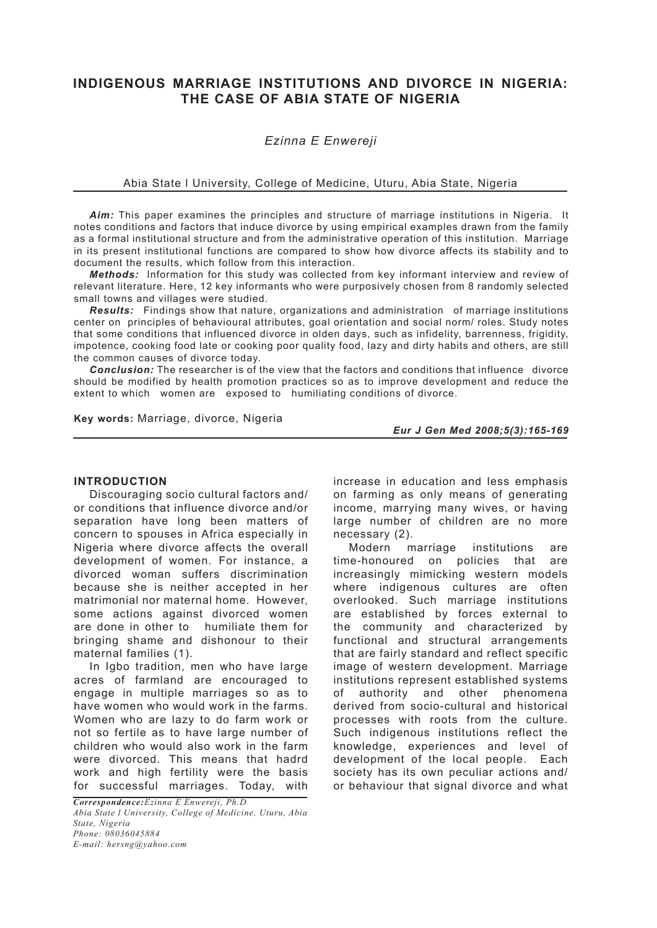# **INDIGENOUS MARRIAGE INSTITUTIONS AND DIVORCE IN NIGERIA: THE CASE OF ABIA STATE OF NIGERIA**

# *Ezinna E Enwereji*

### Abia State l University, College of Medicine, Uturu, Abia State, Nigeria

*Aim:* This paper examines the principles and structure of marriage institutions in Nigeria. It notes conditions and factors that induce divorce by using empirical examples drawn from the family as a formal institutional structure and from the administrative operation of this institution. Marriage in its present institutional functions are compared to show how divorce affects its stability and to document the results, which follow from this interaction.

*Methods:* Information for this study was collected from key informant interview and review of relevant literature. Here, 12 key informants who were purposively chosen from 8 randomly selected small towns and villages were studied.

*Results:* Findings show that nature, organizations and administration of marriage institutions center on principles of behavioural attributes, goal orientation and social norm/ roles. Study notes that some conditions that influenced divorce in olden days, such as infidelity, barrenness, frigidity, impotence, cooking food late or cooking poor quality food, lazy and dirty habits and others, are still the common causes of divorce today.

*Conclusion:* The researcher is of the view that the factors and conditions that influence divorce should be modified by health promotion practices so as to improve development and reduce the extent to which women are exposed to humiliating conditions of divorce.

**Key words:** Marriage, divorce, Nigeria

*Eur J Gen Med 2008;5(3):165-169*

# **INTRODUCTION**

Discouraging socio cultural factors and/ or conditions that influence divorce and/or separation have long been matters of concern to spouses in Africa especially in Nigeria where divorce affects the overall development of women. For instance, a divorced woman suffers discrimination because she is neither accepted in her matrimonial nor maternal home. However, some actions against divorced women are done in other to humiliate them for bringing shame and dishonour to their maternal families (1).

In Igbo tradition, men who have large acres of farmland are encouraged to engage in multiple marriages so as to have women who would work in the farms. Women who are lazy to do farm work or not so fertile as to have large number of children who would also work in the farm were divorced. This means that hadrd work and high fertility were the basis for successful marriages. Today, with increase in education and less emphasis on farming as only means of generating income, marrying many wives, or having large number of children are no more necessary (2).

Modern marriage institutions are time-honoured on policies that are increasingly mimicking western models where indigenous cultures are often overlooked. Such marriage institutions are established by forces external to the community and characterized by functional and structural arrangements that are fairly standard and reflect specific image of western development. Marriage institutions represent established systems of authority and other phenomena derived from socio-cultural and historical processes with roots from the culture. Such indigenous institutions reflect the knowledge, experiences and level of development of the local people. Each society has its own peculiar actions and/ or behaviour that signal divorce and what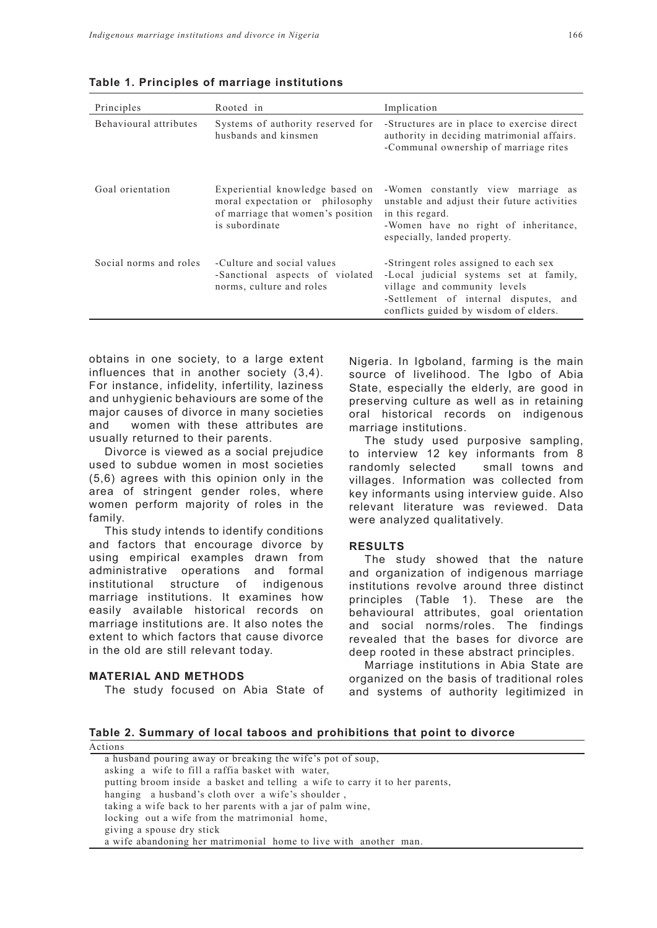| Principles             | Rooted in                                                                                                                 | Implication                                                                                                                                                                                       |
|------------------------|---------------------------------------------------------------------------------------------------------------------------|---------------------------------------------------------------------------------------------------------------------------------------------------------------------------------------------------|
| Behavioural attributes | Systems of authority reserved for<br>husbands and kinsmen                                                                 | -Structures are in place to exercise direct<br>authority in deciding matrimonial affairs.<br>-Communal ownership of marriage rites                                                                |
| Goal orientation       | Experiential knowledge based on<br>moral expectation or philosophy<br>of marriage that women's position<br>is subordinate | -Women constantly view marriage as<br>unstable and adjust their future activities<br>in this regard.<br>-Women have no right of inheritance,<br>especially, landed property.                      |
| Social norms and roles | -Culture and social values<br>-Sanctional aspects of violated<br>norms, culture and roles                                 | -Stringent roles assigned to each sex<br>-Local judicial systems set at family,<br>village and community levels<br>-Settlement of internal disputes, and<br>conflicts guided by wisdom of elders. |

**Table 1. Principles of marriage institutions** 

obtains in one society, to a large extent influences that in another society (3,4). For instance, infidelity, infertility, laziness and unhygienic behaviours are some of the major causes of divorce in many societies and women with these attributes are usually returned to their parents.

Divorce is viewed as a social prejudice used to subdue women in most societies (5,6) agrees with this opinion only in the area of stringent gender roles, where women perform majority of roles in the family.

This study intends to identify conditions and factors that encourage divorce by using empirical examples drawn from administrative operations and formal institutional structure of indigenous marriage institutions. It examines how easily available historical records on marriage institutions are. It also notes the extent to which factors that cause divorce in the old are still relevant today.

#### **MATERIAL AND METHODS**

The study focused on Abia State of

Nigeria. In Igboland, farming is the main source of livelihood. The Igbo of Abia State, especially the elderly, are good in preserving culture as well as in retaining oral historical records on indigenous marriage institutions.

The study used purposive sampling, to interview 12 key informants from 8 randomly selected small towns and villages. Information was collected from key informants using interview guide. Also relevant literature was reviewed. Data were analyzed qualitatively.

#### **RESULTS**

The study showed that the nature and organization of indigenous marriage institutions revolve around three distinct principles (Table 1). These are the behavioural attributes, goal orientation and social norms/roles. The findings revealed that the bases for divorce are deep rooted in these abstract principles.

Marriage institutions in Abia State are organized on the basis of traditional roles and systems of authority legitimized in

**Table 2. Summary of local taboos and prohibitions that point to divorce**  Actions

| 100000                                                                       |
|------------------------------------------------------------------------------|
| a husband pouring away or breaking the wife's pot of soup,                   |
| asking a wife to fill a raffia basket with water,                            |
| putting broom inside a basket and telling a wife to carry it to her parents, |
| hanging a husband's cloth over a wife's shoulder,                            |
| taking a wife back to her parents with a jar of palm wine,                   |
| locking out a wife from the matrimonial home,                                |
| giving a spouse dry stick                                                    |
| a wife abandoning her matrimonial home to live with another man.             |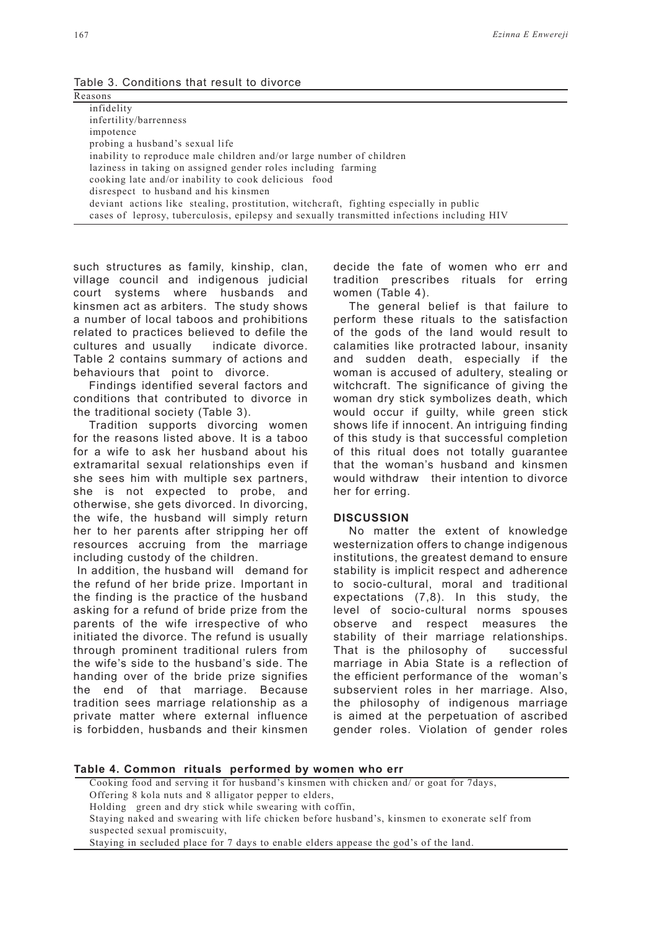Table 3. Conditions that result to divorce

| Reasons |                                                                                            |  |
|---------|--------------------------------------------------------------------------------------------|--|
|         | infidelity                                                                                 |  |
|         | infertility/barrenness                                                                     |  |
|         | impotence                                                                                  |  |
|         | probing a husband's sexual life                                                            |  |
|         | inability to reproduce male children and/or large number of children                       |  |
|         | laziness in taking on assigned gender roles including farming                              |  |
|         | cooking late and/or inability to cook delicious food                                       |  |
|         | disrespect to husband and his kinsmen                                                      |  |
|         | deviant actions like stealing, prostitution, witchcraft, fighting especially in public     |  |
|         | cases of leprosy, tuberculosis, epilepsy and sexually transmitted infections including HIV |  |
|         |                                                                                            |  |

such structures as family, kinship, clan, village council and indigenous judicial court systems where husbands and kinsmen act as arbiters. The study shows a number of local taboos and prohibitions related to practices believed to defile the cultures and usually indicate divorce. Table 2 contains summary of actions and behaviours that point to divorce.

Findings identified several factors and conditions that contributed to divorce in the traditional society (Table 3).

Tradition supports divorcing women for the reasons listed above. It is a taboo for a wife to ask her husband about his extramarital sexual relationships even if she sees him with multiple sex partners, she is not expected to probe, and otherwise, she gets divorced. In divorcing, the wife, the husband will simply return her to her parents after stripping her off resources accruing from the marriage including custody of the children.

 In addition, the husband will demand for the refund of her bride prize. Important in the finding is the practice of the husband asking for a refund of bride prize from the parents of the wife irrespective of who initiated the divorce. The refund is usually through prominent traditional rulers from the wife's side to the husband's side. The handing over of the bride prize signifies the end of that marriage. Because tradition sees marriage relationship as a private matter where external influence is forbidden, husbands and their kinsmen decide the fate of women who err and tradition prescribes rituals for erring women (Table 4).

The general belief is that failure to perform these rituals to the satisfaction of the gods of the land would result to calamities like protracted labour, insanity and sudden death, especially if the woman is accused of adultery, stealing or witchcraft. The significance of giving the woman dry stick symbolizes death, which would occur if guilty, while green stick shows life if innocent. An intriguing finding of this study is that successful completion of this ritual does not totally guarantee that the woman's husband and kinsmen would withdraw their intention to divorce her for erring.

#### **DISCUSSION**

No matter the extent of knowledge westernization offers to change indigenous institutions, the greatest demand to ensure stability is implicit respect and adherence to socio-cultural, moral and traditional expectations (7,8). In this study, the level of socio-cultural norms spouses observe and respect measures the stability of their marriage relationships. That is the philosophy of successful marriage in Abia State is a reflection of the efficient performance of the woman's subservient roles in her marriage. Also, the philosophy of indigenous marriage is aimed at the perpetuation of ascribed gender roles. Violation of gender roles

| Table 4. Common rituals performed by women who err |  |  |  |  |  |  |
|----------------------------------------------------|--|--|--|--|--|--|
|----------------------------------------------------|--|--|--|--|--|--|

| Cooking food and serving it for husband's kinsmen with chicken and/ or goat for 7 days,       |
|-----------------------------------------------------------------------------------------------|
| Offering 8 kola nuts and 8 alligator pepper to elders,                                        |
| Holding green and dry stick while swearing with coffin.                                       |
| Staying naked and swearing with life chicken before husband's, kinsmen to exonerate self from |
| suspected sexual promiscuity.                                                                 |
| Staying in secluded place for 7 days to enable elders appease the god's of the land.          |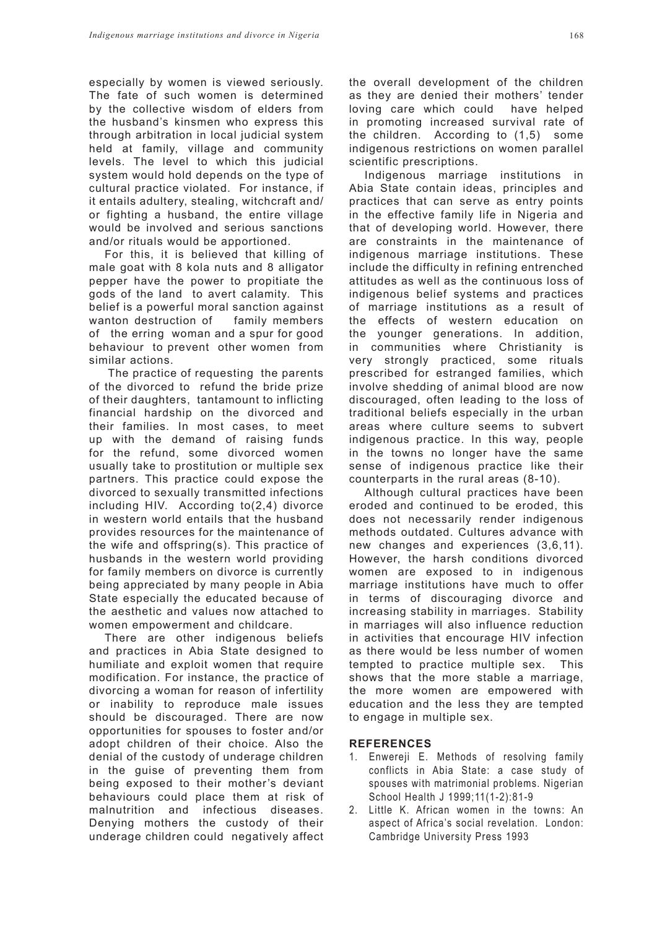especially by women is viewed seriously. The fate of such women is determined by the collective wisdom of elders from the husband's kinsmen who express this through arbitration in local judicial system held at family, village and community levels. The level to which this judicial system would hold depends on the type of cultural practice violated. For instance, if it entails adultery, stealing, witchcraft and/ or fighting a husband, the entire village would be involved and serious sanctions and/or rituals would be apportioned.

For this, it is believed that killing of male goat with 8 kola nuts and 8 alligator pepper have the power to propitiate the gods of the land to avert calamity. This belief is a powerful moral sanction against wanton destruction of family members of the erring woman and a spur for good behaviour to prevent other women from similar actions.

 The practice of requesting the parents of the divorced to refund the bride prize of their daughters, tantamount to inflicting financial hardship on the divorced and their families. In most cases, to meet up with the demand of raising funds for the refund, some divorced women usually take to prostitution or multiple sex partners. This practice could expose the divorced to sexually transmitted infections including HIV. According to(2,4) divorce in western world entails that the husband provides resources for the maintenance of the wife and offspring(s). This practice of husbands in the western world providing for family members on divorce is currently being appreciated by many people in Abia State especially the educated because of the aesthetic and values now attached to women empowerment and childcare.

There are other indigenous beliefs and practices in Abia State designed to humiliate and exploit women that require modification. For instance, the practice of divorcing a woman for reason of infertility or inability to reproduce male issues should be discouraged. There are now opportunities for spouses to foster and/or adopt children of their choice. Also the denial of the custody of underage children in the guise of preventing them from being exposed to their mother's deviant behaviours could place them at risk of malnutrition and infectious diseases. Denying mothers the custody of their underage children could negatively affect the overall development of the children as they are denied their mothers' tender loving care which could have helped in promoting increased survival rate of the children. According to (1,5) some indigenous restrictions on women parallel scientific prescriptions.

Indigenous marriage institutions in Abia State contain ideas, principles and practices that can serve as entry points in the effective family life in Nigeria and that of developing world. However, there are constraints in the maintenance of indigenous marriage institutions. These include the difficulty in refining entrenched attitudes as well as the continuous loss of indigenous belief systems and practices of marriage institutions as a result of the effects of western education on the younger generations. In addition, in communities where Christianity is very strongly practiced, some rituals prescribed for estranged families, which involve shedding of animal blood are now discouraged, often leading to the loss of traditional beliefs especially in the urban areas where culture seems to subvert indigenous practice. In this way, people in the towns no longer have the same sense of indigenous practice like their counterparts in the rural areas (8-10).

Although cultural practices have been eroded and continued to be eroded, this does not necessarily render indigenous methods outdated. Cultures advance with new changes and experiences (3,6,11). However, the harsh conditions divorced women are exposed to in indigenous marriage institutions have much to offer in terms of discouraging divorce and increasing stability in marriages. Stability in marriages will also influence reduction in activities that encourage HIV infection as there would be less number of women tempted to practice multiple sex. This shows that the more stable a marriage, the more women are empowered with education and the less they are tempted to engage in multiple sex.

# **REFERENCES**

- 1. Enwereji E. Methods of resolving family conflicts in Abia State: a case study of spouses with matrimonial problems. Nigerian School Health J 1999;11(1-2):81-9
- 2. Little K. African women in the towns: An aspect of Africa's social revelation. London: Cambridge University Press 1993